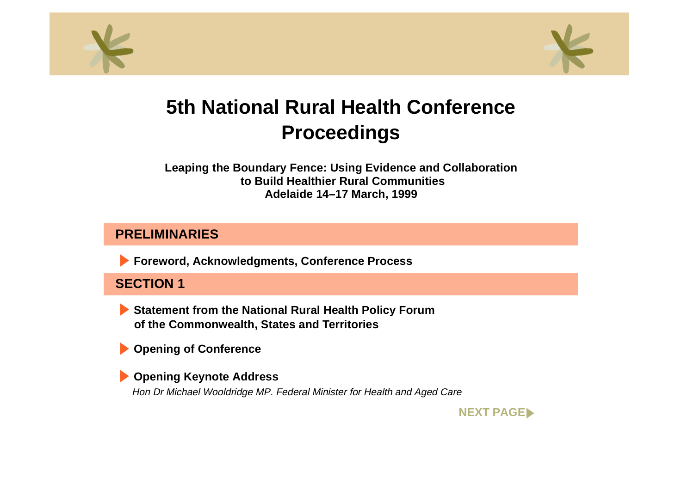<span id="page-0-0"></span>



# **5th National Rural Health ConferenceProceedings**

**Leaping the Boundary Fence: Using Evidence and Collaboration to Build Healthier Rural CommunitiesAdelaide 14–17 March, 1999**

### **PRELIMINARIES**

**Foreword, Acknowledgments, Conference Process**

# **SECTION 1**

**Statement from the National Rural Health Policy Forum of the Commonwealth, States and Territories**

**Opening of Conference**

**Opening Keynote Address** Hon Dr Michael Wooldridge MP. Federal Minister for Health and Aged Care

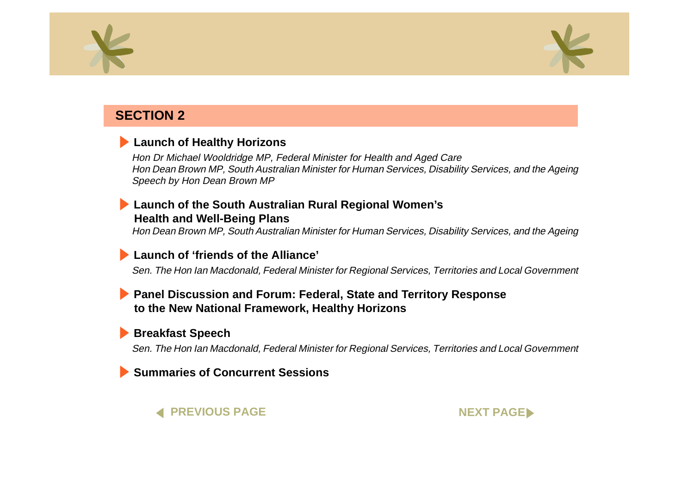<span id="page-1-0"></span>



### **SECTION 2**

### **[Launch of Healthy Horizons](#page-0-0)**

Hon Dr Michael Wooldridge MP, Federal Minister for Health and Aged Care Hon Dean Brown MP, South Australian Minister for Human Services, Disability Services, and the Ageing Speech by Hon Dean Brown MP

### **[Launch of the South Australian Rural Regional Women's](#page-0-0) Health and Well-Being Plans**

Hon Dean Brown MP, South Australian Minister for Human Services, Disability Services, and the Ageing

### **[Launch of 'friends of the Alliance'](#page-0-0)**

Sen. The Hon Ian Macdonald, Federal Minister for Regional Services, Territories and Local Government

### **[Panel Discussion and Forum: Federal, State and Territory Response](#page-0-0) to the New National Framework, Healthy Horizons**

### **[Breakfast Speech](#page-0-0)**

Sen. The Hon Ian Macdonald, Federal Minister for Regional Services, Territories and Local Government

### **[Summaries of Concurrent Sessions](#page-0-0)**

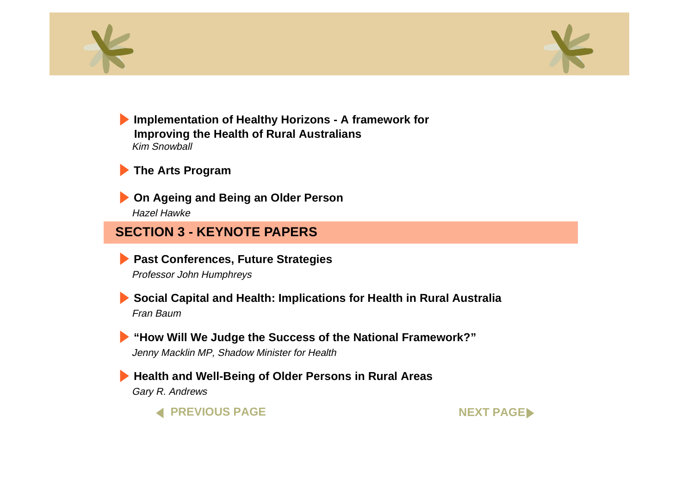<span id="page-2-0"></span>



**[Implementation of Healthy Horizons - A framework for](#page-0-0) Improving the Health of Rural Australians** Kim Snowball

# **[The Arts Program](#page-0-0)**

**[On Ageing and Being an Older Person](#page-0-0)** Hazel Hawke

## **SECTION 3 - KEYNOTE PAPERS**

**[Past Conferences, Future Strategies](#page-0-0)** Professor John Humphreys

**[Social Capital and Health: Implications for Health in Rural Australia](#page-0-0)** Fran Baum

**["How Will We Judge the Success of the National Framework?"](#page-0-0)** Jenny Macklin MP, Shadow Minister for Health

**[Health and Well-Being of Older Persons in Rural Areas](#page-0-0)** Gary R. Andrews



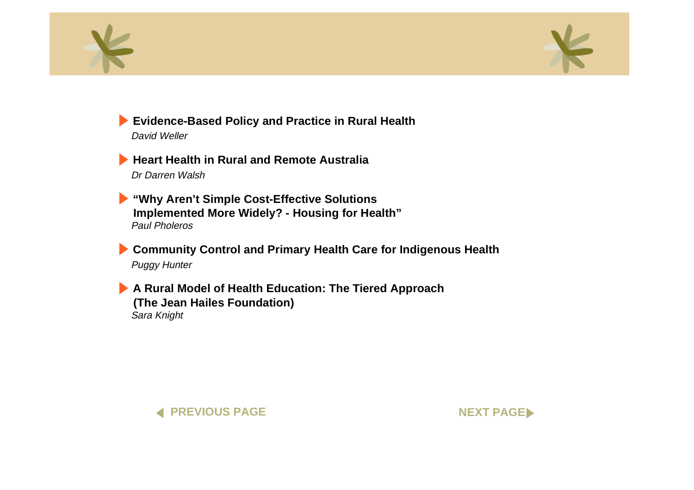<span id="page-3-0"></span>



**[Evidence-Based Policy and Practice in Rural Health](#page-0-0)**

David Weller

**[Heart Health in Rural and Remote Australia](#page-0-0)**Dr Darren Walsh

**"Why Aren't Simple Cost-Effective Solutions [Implemented More Widely? - Housing for Health"](#page-0-0)** Paul Pholeros

**[Community Control and Primary Health Care for Indigenous Health](#page-0-0)** Puggy Hunter

**[A Rural Model of Health Education: The Tiered Approach](#page-0-0) (The Jean Hailes Foundation)** Sara Knight



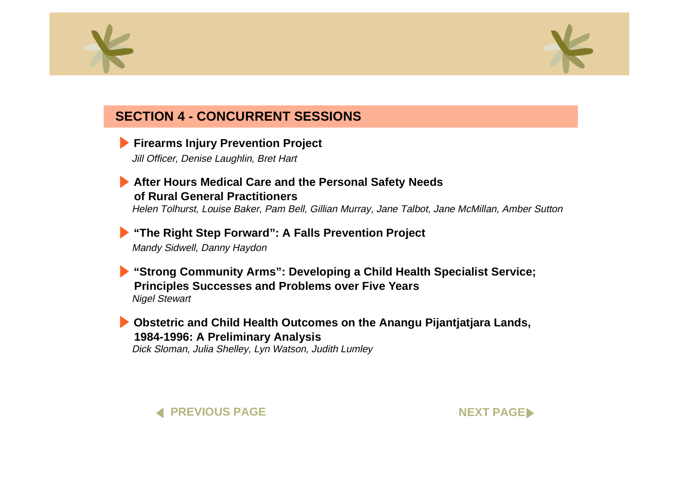<span id="page-4-0"></span>



# **SECTION 4 - CONCURRENT SESSIONS**

**[Firearms Injury Prevention Project](#page-0-0)** 

Jill Officer, Denise Laughlin, Bret Hart

#### **[After Hours Medical Care and the Personal Safety Needs](#page-0-0) of Rural General Practitioners**

Helen Tolhurst, Louise Baker, Pam Bell, Gillian Murray, Jane Talbot, Jane McMillan, Amber Sutton

### **["The Right Step Forward": A Falls Prevention Project](#page-0-0)**

Mandy Sidwell, Danny Haydon

**["Strong Community Arms": Developing a Child Health Specialist Service;](#page-0-0)  Principles Successes and Problems over Five Years** Nigel Stewart

**[Obstetric and Child Health Outcomes on the Anangu Pijantjatjara Lands,](#page-0-0) 1984-1996: A Preliminary Analysis** Dick Sloman, Julia Shelley, Lyn Watson, Judith Lumley

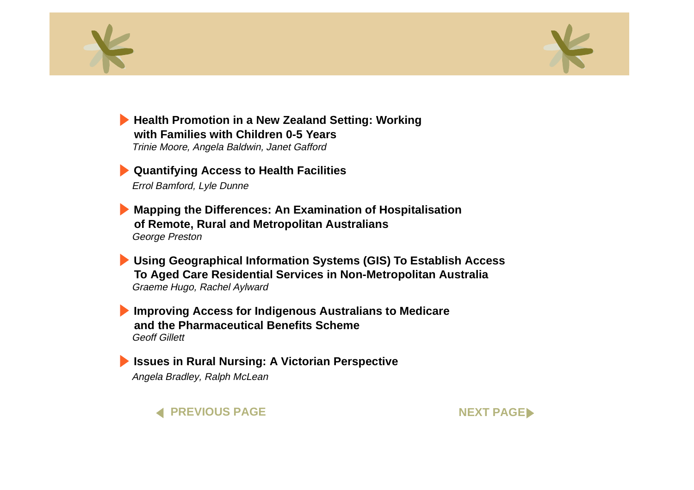<span id="page-5-0"></span>



**[Health Promotion in a New Zealand Setting: Working](#page-0-0) with Families with Children 0-5 Years**Trinie Moore, Angela Baldwin, Janet Gafford

**[Quantifying Access to Health Facilities](#page-0-0)** Errol Bamford, Lyle Dunne

**[Mapping the Differences: An Examination of Hospitalisation](#page-0-0) of Remote, Rural and Metropolitan Australians** George Preston

**[Using Geographical Information Systems \(GIS\) To Establish Access](#page-0-0) To Aged Care Residential Services in Non-Metropolitan Australia** Graeme Hugo, Rachel Aylward

**[Improving Access for Indigenous Australians to Medicare](#page-0-0) and the Pharmaceutical Benefits Scheme**Geoff Gillett

**[Issues in Rural Nursing: A Victorian Perspective](#page-0-0)** Angela Bradley, Ralph McLean

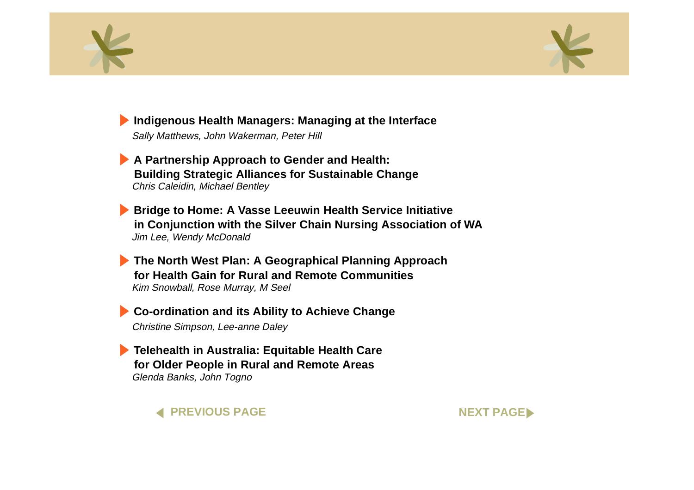<span id="page-6-0"></span>



**[Indigenous Health Managers: Managing at the Interface](#page-0-0)**

Sally Matthews, John Wakerman, Peter Hill

**A Partnership Approach to Gender and Health: [Building Strategic Alliances for Sustainable Change](#page-0-0)** Chris Caleidin, Michael Bentley

**Bridge to Home: A Vasse Leeuwin Health Service Initiative [in Conjunction with the Silver Chain Nursing Association of WA](#page-0-0)** Jim Lee, Wendy McDonald

**[The North West Plan: A Geographical Planning Approach](#page-0-0) for Health Gain for Rural and Remote Communities**Kim Snowball, Rose Murray, M Seel

**[Co-ordination and its Ability to Achieve Change](#page-0-0)** Christine Simpson, Lee-anne Daley

**[Telehealth in Australia: Equitable Health Care](#page-0-0) for Older People in Rural and Remote Areas** Glenda Banks, John Togno

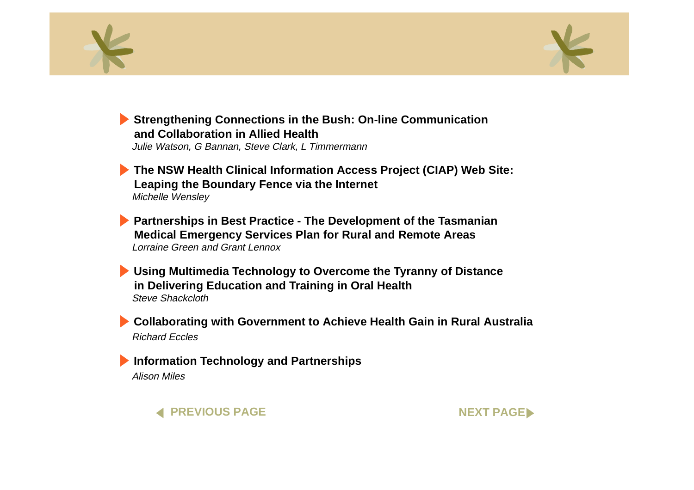<span id="page-7-0"></span>



**[Strengthening Connections in the Bush: On-line Communication](#page-0-0) and Collaboration in Allied Health**Julie Watson, G Bannan, Steve Clark, L Timmermann

**[The NSW Health Clinical Information Access Project \(CIAP\) Web Site:](#page-0-0) Leaping the Boundary Fence via the Internet** Michelle Wensley

**[Partnerships in Best Practice - The Development of the Tasmanian](#page-0-0) Medical Emergency Services Plan for Rural and Remote Areas** Lorraine Green and Grant Lennox

**[Using Multimedia Technology to Overcome the Tyranny of Distance](#page-0-0) in Delivering Education and Training in Oral Health** Steve Shackcloth

**[Collaborating with Government to Achieve Health Gain in Rural Australia](#page-0-0)**  Richard Eccles

**[Information Technology and Partnerships](#page-0-0)** Alison Miles

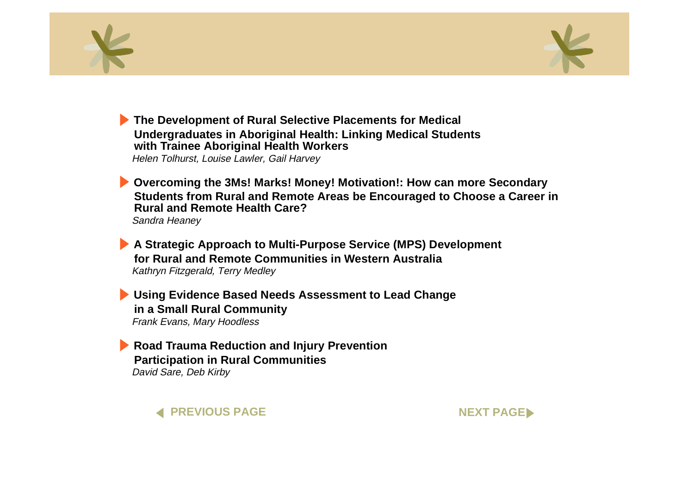<span id="page-8-0"></span>



**The Development of Rural Selective Placements for Medical [Undergraduates in Aboriginal Health: Linking Medical Students](#page-0-0) with Trainee Aboriginal Health Workers**

Helen Tolhurst, Louise Lawler, Gail Harvey

**Overcoming the 3Ms! Marks! Money! Motivation!: How can more Secondary [Students from Rural and Remote Areas be Encouraged to Choose a Career in](#page-0-0)  Rural and Remote Health Care?**Sandra Heaney

**[A Strategic Approach to Multi-Purpose Service \(MPS\) Development](#page-0-0) for Rural and Remote Communities in Western Australia**Kathryn Fitzgerald, Terry Medley

**[Using Evidence Based Needs Assessment to Lead Change](#page-0-0) in a Small Rural Community** Frank Evans, Mary Hoodless

**[Road Trauma Reduction and Injury Prevention](#page-0-0) Participation in Rural Communities** David Sare, Deb Kirby

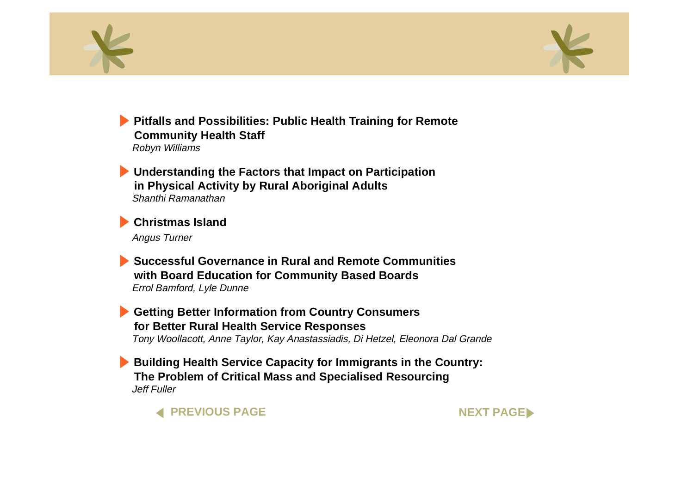<span id="page-9-0"></span>



**[Pitfalls and Possibilities: Public Health Training for Remote](#page-0-0) Community Health Staff**  Robyn Williams

**[Understanding the Factors that Impact on Participation](#page-0-0) in Physical Activity by Rural Aboriginal Adults** Shanthi Ramanathan

**[Christmas Island](#page-0-0)**

Angus Turner

**Successful Governance in Rural and Remote Communities[with Board Education for Community Based Boards](#page-0-0)** Errol Bamford, Lyle Dunne

**[Getting Better Information from Country Consumers](#page-0-0) for Better Rural Health Service Responses** Tony Woollacott, Anne Taylor, Kay Anastassiadis, Di Hetzel, Eleonora Dal Grande

**[Building Health Service Capacity for Immigrants in the Country:](#page-0-0) The Problem of Critical Mass and Specialised Resourcing** Jeff Fuller

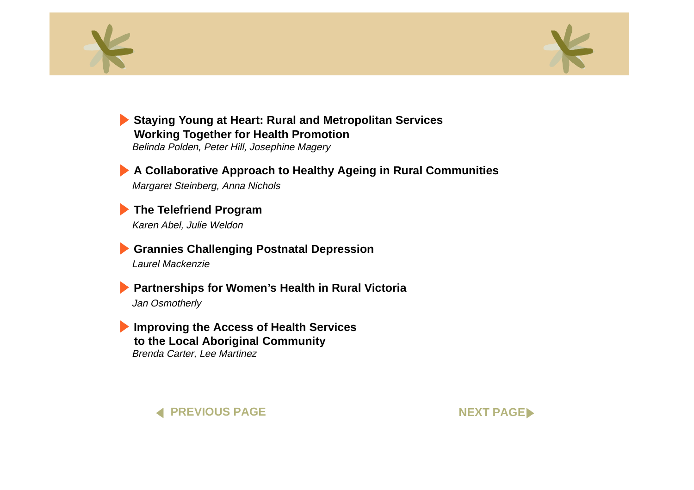<span id="page-10-0"></span>



**[Staying Young at Heart: Rural and Metropolitan Services](#page-0-0) Working Together for Health Promotion** Belinda Polden, Peter Hill, Josephine Magery

**[A Collaborative Approach to Healthy Ageing in Rural Communities](#page-0-0)** Margaret Steinberg, Anna Nichols

**[The Telefriend Program](#page-0-0)** Karen Abel, Julie Weldon

**[Grannies Challenging Postnatal Depression](#page-0-0)** Laurel Mackenzie

**[Partnerships for Women's Health in Rural Victoria](#page-0-0)** Jan Osmotherly

**[Improving the Access of Health Services](#page-0-0) to the Local Aboriginal Community** Brenda Carter, Lee Martinez

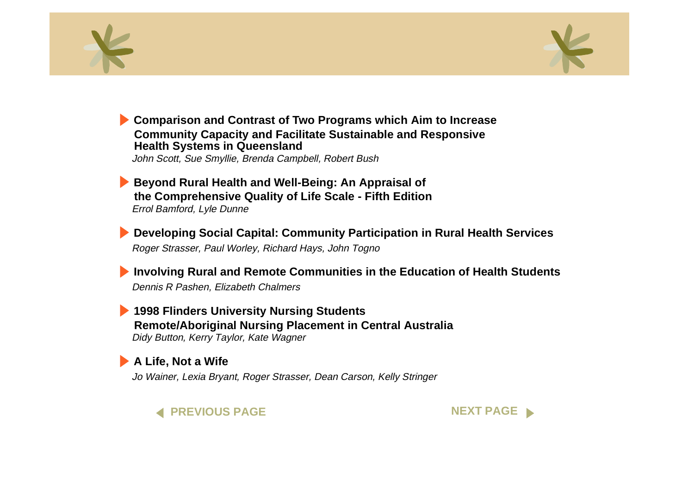<span id="page-11-0"></span>



**[Comparison and Contrast of Two Programs which Aim to Increase](#page-0-0) Community Capacity and Facilitate Sustainable and Responsive Health Systems in Queensland**

John Scott, Sue Smyllie, Brenda Campbell, Robert Bush

**Beyond Rural Health and Well-Being: An Appraisal of [the Comprehensive Quality of Life Scale - Fifth Edition](#page-0-0)** Errol Bamford, Lyle Dunne

**[Developing Social Capital: Community Participation in Rural Health Services](#page-0-0)** Roger Strasser, Paul Worley, Richard Hays, John Togno

**[Involving Rural and Remote Communities in the Education of Health Students](#page-0-0)** Dennis R Pashen, Elizabeth Chalmers

**1998 Flinders University Nursing Students [Remote/Aboriginal Nursing Placement in Central Australia](#page-0-0)** Didy Button, Kerry Taylor, Kate Wagner

### **[A Life, Not a Wife](#page-0-0)**

Jo Wainer, Lexia Bryant, Roger Strasser, Dean Carson, Kelly Stringer



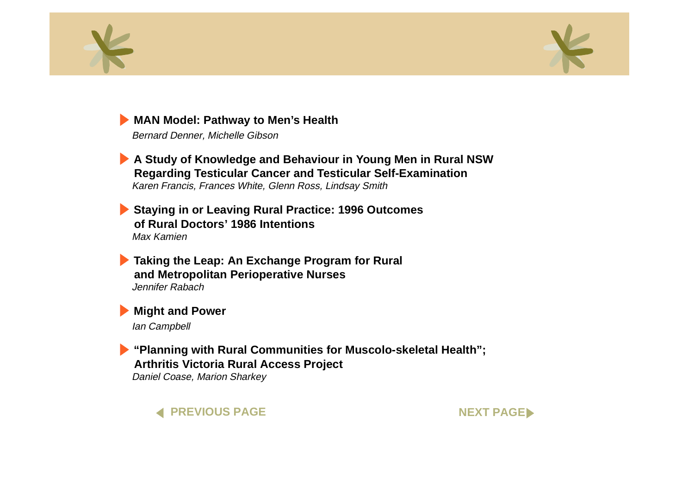<span id="page-12-0"></span>



### **[MAN Model: Pathway to Men's Health](#page-0-0)**

Bernard Denner, Michelle Gibson

**[A Study of Knowledge and Behaviour in Young Men in Rural NSW](#page-0-0) Regarding Testicular Cancer and Testicular Self-Examination** Karen Francis, Frances White, Glenn Ross, Lindsay Smith

**[Staying in or Leaving Rural Practice: 1996 Outcomes](#page-0-0) of Rural Doctors' 1986 Intentions**Max Kamien

**[Taking the Leap: An Exchange Program for Rural](#page-0-0) and Metropolitan Perioperative Nurses** Jennifer Rabach

**[Might and Power](#page-0-0)** Ian Campbell

**["Planning with Rural Communities for Muscolo-skeletal Health";](#page-0-0) Arthritis Victoria Rural Access Project** Daniel Coase, Marion Sharkey

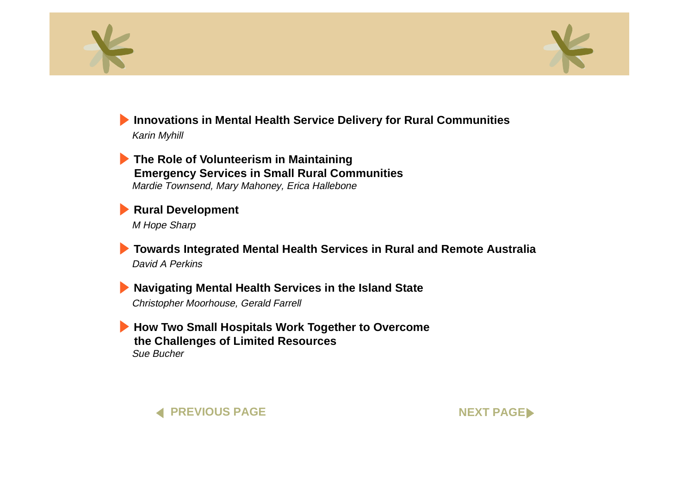<span id="page-13-0"></span>



### **[Innovations in Mental Health Service Delivery for Rural Communities](#page-0-0)** Karin Myhill

**The Role of Volunteerism in Maintaining [Emergency Services in Small Rural Communities](#page-0-0)** Mardie Townsend, Mary Mahoney, Erica Hallebone

**[Rural Development](#page-0-0)** M Hope Sharp

**[Towards Integrated Mental Health Services in Rural and Remote Australia](#page-0-0)** David A Perkins

**[Navigating Mental Health Services in the Island State](#page-0-0)** Christopher Moorhouse, Gerald Farrell

**[How Two Small Hospitals Work Together to Overcome](#page-0-0) the Challenges of Limited Resources** Sue Bucher



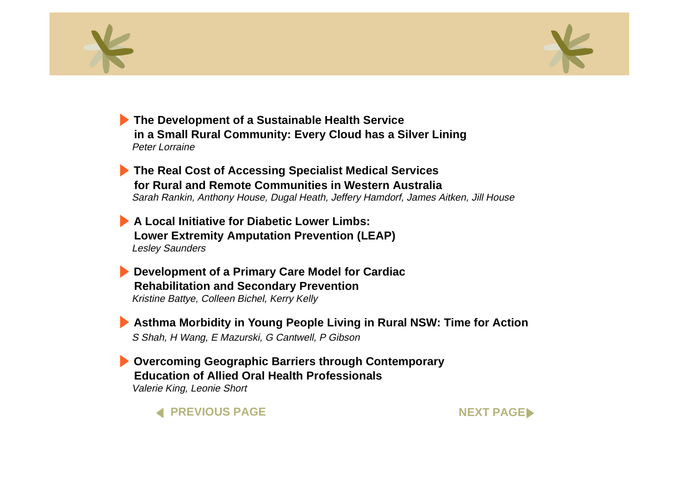<span id="page-14-0"></span>



**The Development of a Sustainable Health Service [in a Small Rural Community: Every Cloud has a Silver Lining](#page-0-0)** Peter Lorraine

**[The Real Cost of Accessing Specialist Medical Services](#page-0-0) for Rural and Remote Communities in Western Australia**Sarah Rankin, Anthony House, Dugal Heath, Jeffery Hamdorf, James Aitken, Jill House

**A Local Initiative for Diabetic Lower Limbs:[Lower Extremity Amputation Prevention \(LEAP\)](#page-0-0)** Lesley Saunders

**[Development of a Primary Care Model for Cardiac](#page-0-0) Rehabilitation and Secondary Prevention** Kristine Battye, Colleen Bichel, Kerry Kelly

**[Asthma Morbidity in Young People Living in Rural NSW: Time for Action](#page-0-0)** S Shah, H Wang, E Mazurski, G Cantwell, P Gibson

**[Overcoming Geographic Barriers through Contemporary](#page-0-0) Education of Allied Oral Health Professionals**Valerie King, Leonie Short



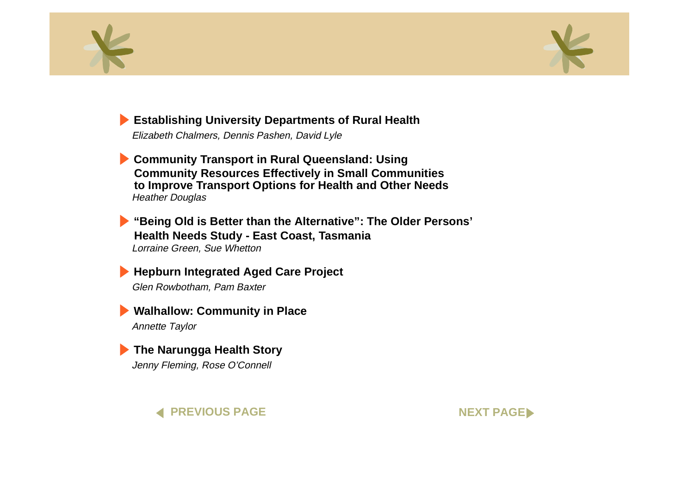<span id="page-15-0"></span>



### **[Establishing University Departments of Rural Health](#page-0-0)**

Elizabeth Chalmers, Dennis Pashen, David Lyle

**Community Transport in Rural Queensland: Using [Community Resources Effectively in Small Communities](#page-0-0) to Improve Transport Options for Health and Other Needs** Heather Douglas

**["Being Old is Better than the Alternative": The Older Persons'](#page-0-0) Health Needs Study - East Coast, Tasmania** Lorraine Green, Sue Whetton

**[Hepburn Integrated Aged Care Project](#page-0-0)** Glen Rowbotham, Pam Baxter

**[Walhallow: Community in Place](#page-0-0)** Annette Taylor

**[The Narungga Health Story](#page-0-0)** Jenny Fleming, Rose O'Connell

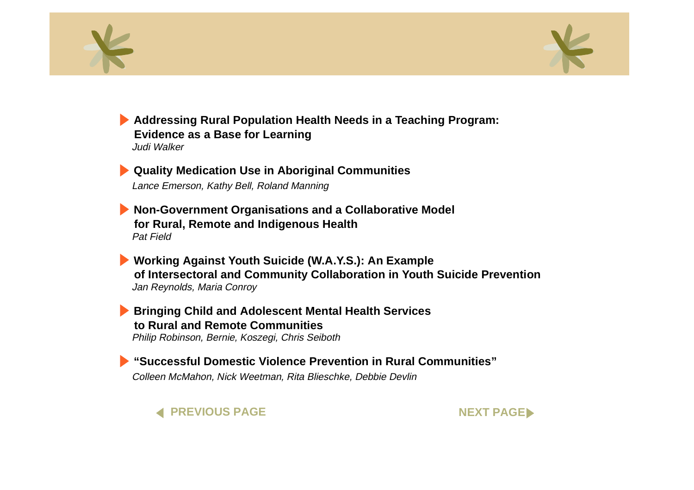<span id="page-16-0"></span>



**[Addressing Rural Population Health Needs in a Teaching Program:](#page-0-0) Evidence as a Base for Learning** Judi Walker

**[Quality Medication Use in Aboriginal Communities](#page-0-0)** Lance Emerson, Kathy Bell, Roland Manning

**[Non-Government Organisations and a Collaborative Model](#page-0-0) for Rural, Remote and Indigenous Health** Pat Field

**Working Against Youth Suicide (W.A.Y.S.): An Example [of Intersectoral and Community Collaboration in Youth Suicide Prevention](#page-0-0)** Jan Reynolds, Maria Conroy

**[Bringing Child and Adolescent Mental Health Services](#page-0-0) to Rural and Remote Communities**Philip Robinson, Bernie, Koszegi, Chris Seiboth

**["Successful Domestic Violence Prevention in Rural Communities"](#page-0-0)**Colleen McMahon, Nick Weetman, Rita Blieschke, Debbie Devlin

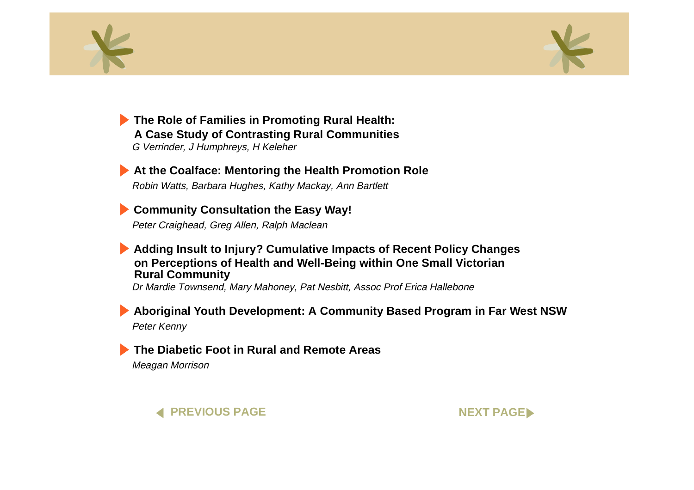<span id="page-17-0"></span>



**The Role of Families in Promoting Rural Health: [A Case Study of Contrasting Rural Communities](#page-0-0)** G Verrinder, J Humphreys, H Keleher

**[At the Coalface: Mentoring the Health Promotion Role](#page-0-0)** Robin Watts, Barbara Hughes, Kathy Mackay, Ann Bartlett

**[Community Consultation the Easy Way!](#page-0-0)**

Peter Craighead, Greg Allen, Ralph Maclean

#### **[Adding Insult to Injury? Cumulative Impacts of Recent Policy Changes](#page-0-0) on Perceptions of Health and Well-Being within One Small Victorian Rural Community**

Dr Mardie Townsend, Mary Mahoney, Pat Nesbitt, Assoc Prof Erica Hallebone

**[Aboriginal Youth Development: A Community Based Program in Far West NSW](#page-0-0)** Peter Kenny

### **[The Diabetic Foot in Rural and Remote Areas](#page-0-0)**

Meagan Morrison